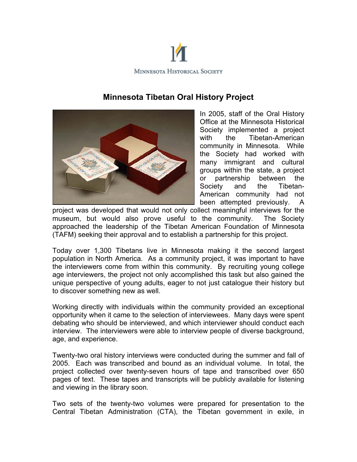

## **Minnesota Tibetan Oral History Project**



In 2005, staff of the Oral History Office at the Minnesota Historical Society implemented a project with the Tibetan-American community in Minnesota. While the Society had worked with many immigrant and cultural groups within the state, a project or partnership between the Society and the Tibetan-American community had not been attempted previously. A

project was developed that would not only collect meaningful interviews for the museum, but would also prove useful to the community. The Society approached the leadership of the Tibetan American Foundation of Minnesota (TAFM) seeking their approval and to establish a partnership for this project.

Today over 1,300 Tibetans live in Minnesota making it the second largest population in North America. As a community project, it was important to have the interviewers come from within this community. By recruiting young college age interviewers, the project not only accomplished this task but also gained the unique perspective of young adults, eager to not just catalogue their history but to discover something new as well.

Working directly with individuals within the community provided an exceptional opportunity when it came to the selection of interviewees. Many days were spent debating who should be interviewed, and which interviewer should conduct each interview. The interviewers were able to interview people of diverse background, age, and experience.

Twenty-two oral history interviews were conducted during the summer and fall of 2005. Each was transcribed and bound as an individual volume. In total, the project collected over twenty-seven hours of tape and transcribed over 650 pages of text. These tapes and transcripts will be publicly available for listening and viewing in the library soon.

Two sets of the twenty-two volumes were prepared for presentation to the Central Tibetan Administration (CTA), the Tibetan government in exile, in